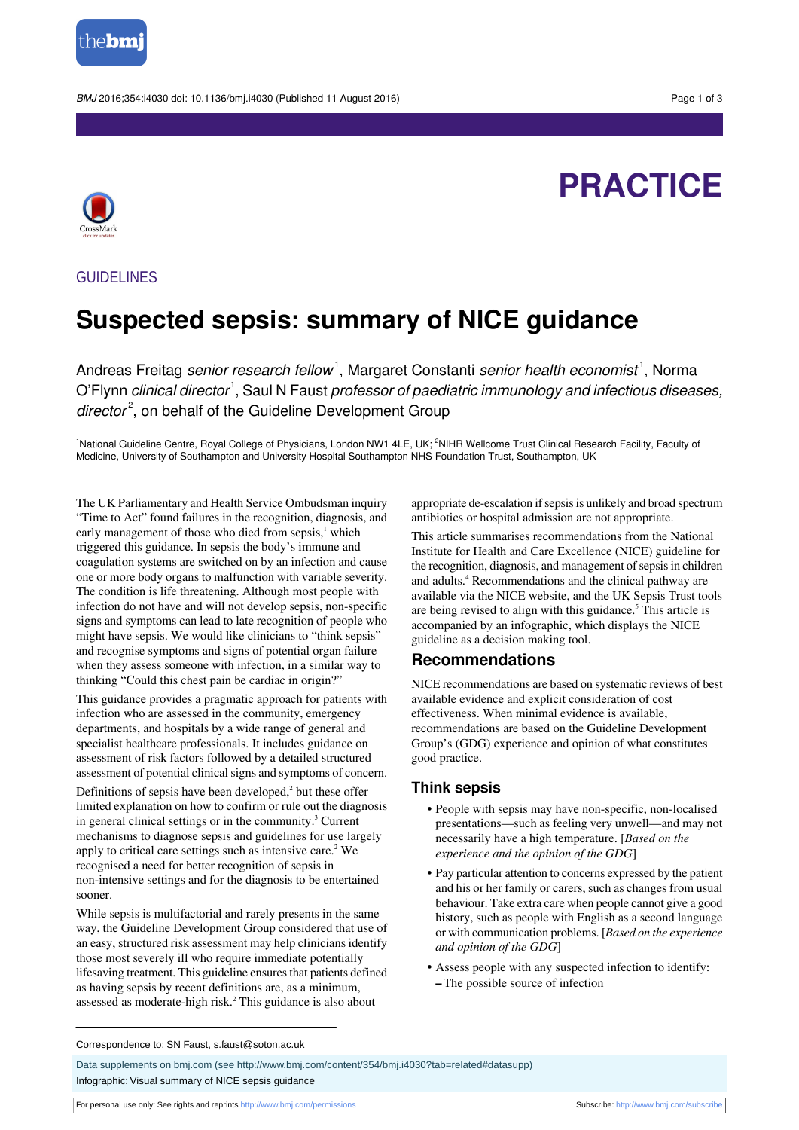

BMJ 2016:354:i4030 doi: 10.1136/bmi.i4030 (Published 11 August 2016) Page 1 of 3

# **PRACTICE**



**GUIDELINES** 

## **Suspected sepsis: summary of NICE guidance**

Andreas Freitag *senior research fellow* <sup>1</sup>, Margaret Constanti *senior health economist* <sup>1</sup>, Norma O'Flynn *clinical director*  $^{\textrm{\tiny{\rm{l}}}}$ , Saul N Faust *professor of paediatric immunology and infectious diseases,* director<sup>2</sup>, on behalf of the Guideline Development Group

<sup>1</sup>National Guideline Centre, Royal College of Physicians, London NW1 4LE, UK; <sup>2</sup>NIHR Wellcome Trust Clinical Research Facility, Faculty of Medicine, University of Southampton and University Hospital Southampton NHS Foundation Trust, Southampton, UK

The UK Parliamentary and Health Service Ombudsman inquiry "Time to Act" found failures in the recognition, diagnosis, and early management of those who died from sepsis,<sup>1</sup> which triggered this guidance. In sepsis the body's immune and coagulation systems are switched on by an infection and cause one or more body organs to malfunction with variable severity. The condition is life threatening. Although most people with infection do not have and will not develop sepsis, non-specific signs and symptoms can lead to late recognition of people who might have sepsis. We would like clinicians to "think sepsis" and recognise symptoms and signs of potential organ failure when they assess someone with infection, in a similar way to thinking "Could this chest pain be cardiac in origin?"

This guidance provides a pragmatic approach for patients with infection who are assessed in the community, emergency departments, and hospitals by a wide range of general and specialist healthcare professionals. It includes guidance on assessment of risk factors followed by a detailed structured assessment of potential clinical signs and symptoms of concern.

Definitions of sepsis have been developed,<sup>2</sup> but these offer limited explanation on how to confirm or rule out the diagnosis in general clinical settings or in the community.<sup>3</sup> Current mechanisms to diagnose sepsis and guidelines for use largely apply to critical care settings such as intensive care.<sup>2</sup> We recognised a need for better recognition of sepsis in non-intensive settings and for the diagnosis to be entertained sooner.

While sepsis is multifactorial and rarely presents in the same way, the Guideline Development Group considered that use of an easy, structured risk assessment may help clinicians identify those most severely ill who require immediate potentially lifesaving treatment. This guideline ensures that patients defined as having sepsis by recent definitions are, as a minimum, assessed as moderate-high risk.<sup>2</sup> This guidance is also about

appropriate de-escalation if sepsis is unlikely and broad spectrum antibiotics or hospital admission are not appropriate.

This article summarises recommendations from the National Institute for Health and Care Excellence (NICE) guideline for the recognition, diagnosis, and management of sepsis in children and adults.<sup>4</sup> Recommendations and the clinical pathway are available via the NICE website, and the UK Sepsis Trust tools are being revised to align with this guidance.<sup>5</sup> This article is accompanied by an infographic, which displays the NICE guideline as a decision making tool.

## **Recommendations**

NICE recommendations are based on systematic reviews of best available evidence and explicit consideration of cost effectiveness. When minimal evidence is available, recommendations are based on the Guideline Development Group's (GDG) experience and opinion of what constitutes good practice.

### **Think sepsis**

- **•** People with sepsis may have non-specific, non-localised presentations—such as feeling very unwell—and may not necessarily have a high temperature. [*Based on the experience and the opinion of the GDG*]
- **•** Pay particular attention to concerns expressed by the patient and his or her family or carers, such as changes from usual behaviour. Take extra care when people cannot give a good history, such as people with English as a second language or with communication problems. [*Based on the experience and opinion of the GDG*]
- **•** Assess people with any suspected infection to identify: **–**The possible source of infection

Data supplements on bmj.com (see <http://www.bmj.com/content/354/bmj.i4030?tab=related#datasupp>) Infographic: Visual summary of NICE sepsis guidance

For personal use only: See rights and reprints<http://www.bmj.com/permissions> Subscribe: <http://www.bmj.com/subscribe>

Correspondence to: SN Faust, s.faust@soton.ac.uk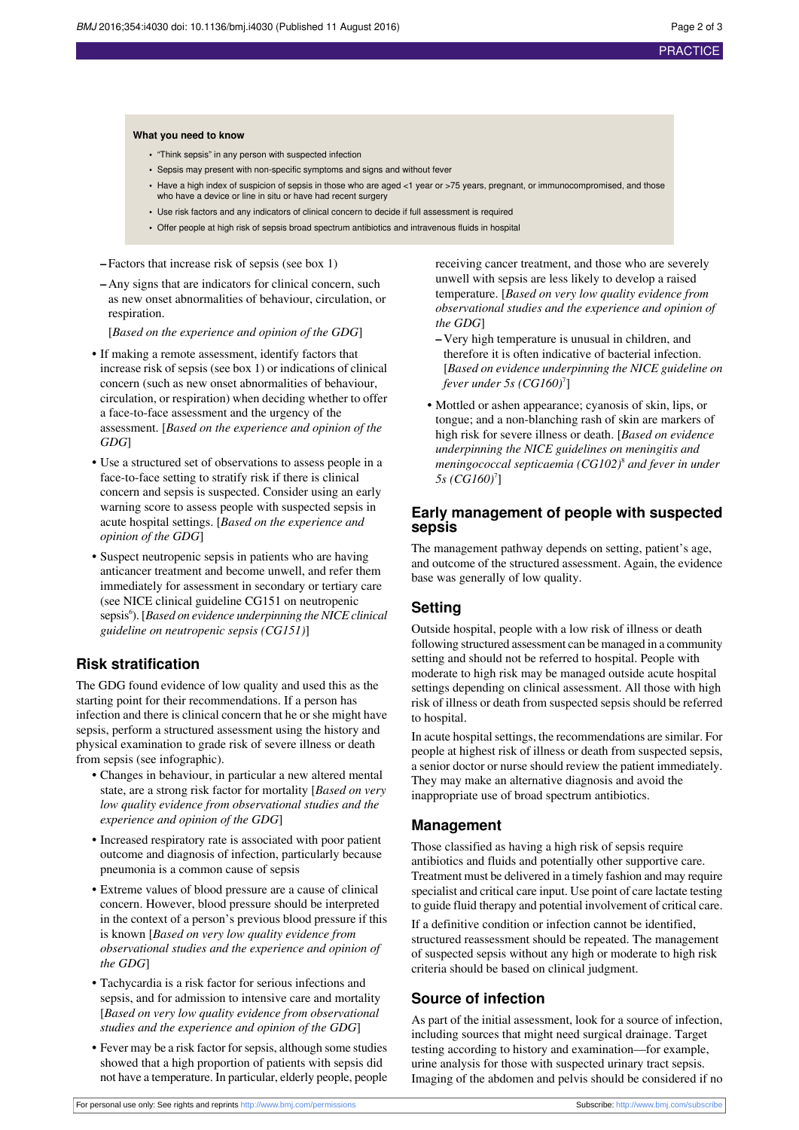#### **What you need to know**

- **•** "Think sepsis" in any person with suspected infection
- **•** Sepsis may present with non-specific symptoms and signs and without fever
- Have a high index of suspicion of sepsis in those who are aged <1 year or >75 years, pregnant, or immunocompromised, and those who have a device or line in situ or have had recent surgery
- **•** Use risk factors and any indicators of clinical concern to decide if full assessment is required
- **•** Offer people at high risk of sepsis broad spectrum antibiotics and intravenous fluids in hospital
- **–** Factors that increase risk of sepsis (see box 1)
- **–** Any signs that are indicators for clinical concern, such as new onset abnormalities of behaviour, circulation, or respiration.

[*Based on the experience and opinion of the GDG*]

- **•** If making a remote assessment, identify factors that increase risk of sepsis (see box 1) or indications of clinical concern (such as new onset abnormalities of behaviour, circulation, or respiration) when deciding whether to offer a face-to-face assessment and the urgency of the assessment. [*Based on the experience and opinion of the GDG*]
- **•** Use a structured set of observations to assess people in a face-to-face setting to stratify risk if there is clinical concern and sepsis is suspected. Consider using an early warning score to assess people with suspected sepsis in acute hospital settings. [*Based on the experience and opinion of the GDG*]
- **•** Suspect neutropenic sepsis in patients who are having anticancer treatment and become unwell, and refer them immediately for assessment in secondary or tertiary care (see NICE clinical guideline CG151 on neutropenic sepsis<sup>6</sup> ). [*Based on evidence underpinning the NICE clinical guideline on neutropenic sepsis (CG151)*]

## **Risk stratification**

The GDG found evidence of low quality and used this as the starting point for their recommendations. If a person has infection and there is clinical concern that he or she might have sepsis, perform a structured assessment using the history and physical examination to grade risk of severe illness or death from sepsis (see infographic).

- **•** Changes in behaviour, in particular a new altered mental state, are a strong risk factor for mortality [*Based on very low quality evidence from observational studies and the experience and opinion of the GDG*]
- **•** Increased respiratory rate is associated with poor patient outcome and diagnosis of infection, particularly because pneumonia is a common cause of sepsis
- **•** Extreme values of blood pressure are a cause of clinical concern. However, blood pressure should be interpreted in the context of a person's previous blood pressure if this is known [*Based on very low quality evidence from observational studies and the experience and opinion of the GDG*]
- **•** Tachycardia is a risk factor for serious infections and sepsis, and for admission to intensive care and mortality [*Based on very low quality evidence from observational studies and the experience and opinion of the GDG*]
- Fever may be a risk factor for sepsis, although some studies showed that a high proportion of patients with sepsis did not have a temperature. In particular, elderly people, people

receiving cancer treatment, and those who are severely unwell with sepsis are less likely to develop a raised temperature. [*Based on very low quality evidence from observational studies and the experience and opinion of the GDG*]

- **–** Very high temperature is unusual in children, and therefore it is often indicative of bacterial infection. [*Based on evidence underpinning the NICE guideline on fever under 5s (CG160)*<sup>7</sup> ]
- **•** Mottled or ashen appearance; cyanosis of skin, lips, or tongue; and a non-blanching rash of skin are markers of high risk for severe illness or death. [*Based on evidence underpinning the NICE guidelines on meningitis and meningococcal septicaemia (CG102)*<sup>8</sup> *and fever in under 5s (CG160)*<sup>7</sup> ]

## **Early management of people with suspected sepsis**

The management pathway depends on setting, patient's age, and outcome of the structured assessment. Again, the evidence base was generally of low quality.

## **Setting**

Outside hospital, people with a low risk of illness or death following structured assessment can be managed in a community setting and should not be referred to hospital. People with moderate to high risk may be managed outside acute hospital settings depending on clinical assessment. All those with high risk of illness or death from suspected sepsis should be referred to hospital.

In acute hospital settings, the recommendations are similar. For people at highest risk of illness or death from suspected sepsis, a senior doctor or nurse should review the patient immediately. They may make an alternative diagnosis and avoid the inappropriate use of broad spectrum antibiotics.

## **Management**

Those classified as having a high risk of sepsis require antibiotics and fluids and potentially other supportive care. Treatment must be delivered in a timely fashion and may require specialist and critical care input. Use point of care lactate testing to guide fluid therapy and potential involvement of critical care.

If a definitive condition or infection cannot be identified, structured reassessment should be repeated. The management of suspected sepsis without any high or moderate to high risk criteria should be based on clinical judgment.

## **Source of infection**

As part of the initial assessment, look for a source of infection, including sources that might need surgical drainage. Target testing according to history and examination—for example, urine analysis for those with suspected urinary tract sepsis. Imaging of the abdomen and pelvis should be considered if no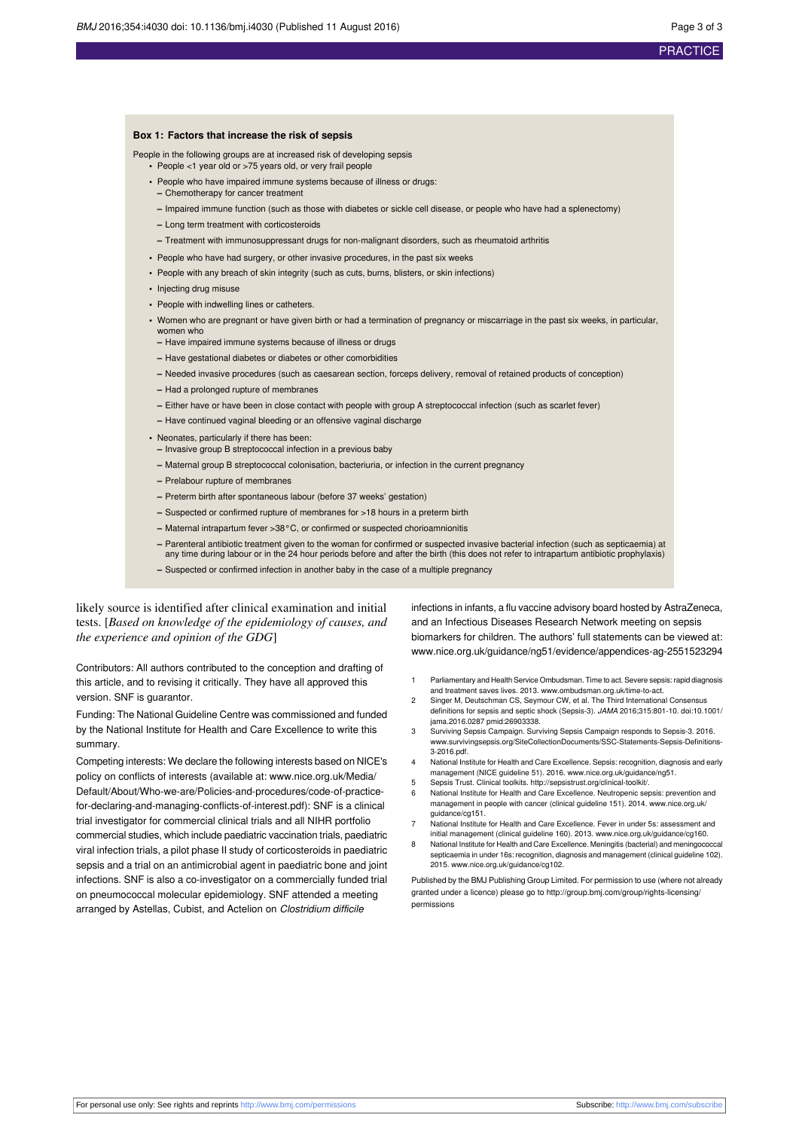#### **Box 1: Factors that increase the risk of sepsis**

People in the following groups are at increased risk of developing sepsis

- **•** People <1 year old or >75 years old, or very frail people
- **•** People who have impaired immune systems because of illness or drugs:
- **–** Chemotherapy for cancer treatment
- **–** Impaired immune function (such as those with diabetes or sickle cell disease, or people who have had a splenectomy)
- **–** Long term treatment with corticosteroids
- **–** Treatment with immunosuppressant drugs for non-malignant disorders, such as rheumatoid arthritis
- **•** People who have had surgery, or other invasive procedures, in the past six weeks
- **•** People with any breach of skin integrity (such as cuts, burns, blisters, or skin infections)
- **•** Injecting drug misuse
- **•** People with indwelling lines or catheters.
- **•** Women who are pregnant or have given birth or had a termination of pregnancy or miscarriage in the past six weeks, in particular, women who
	- **–** Have impaired immune systems because of illness or drugs
	- **–** Have gestational diabetes or diabetes or other comorbidities
	- **–** Needed invasive procedures (such as caesarean section, forceps delivery, removal of retained products of conception)
	- **–** Had a prolonged rupture of membranes
	- **–** Either have or have been in close contact with people with group A streptococcal infection (such as scarlet fever)
- **–** Have continued vaginal bleeding or an offensive vaginal discharge
- **•** Neonates, particularly if there has been:
- **–** Invasive group B streptococcal infection in a previous baby
- **–** Maternal group B streptococcal colonisation, bacteriuria, or infection in the current pregnancy
- **–** Prelabour rupture of membranes
- **–** Preterm birth after spontaneous labour (before 37 weeks' gestation)
- **–** Suspected or confirmed rupture of membranes for >18 hours in a preterm birth
- **–** Maternal intrapartum fever >38°C, or confirmed or suspected chorioamnionitis
- **–** Parenteral antibiotic treatment given to the woman for confirmed or suspected invasive bacterial infection (such as septicaemia) at any time during labour or in the 24 hour periods before and after the birth (this does not refer to intrapartum antibiotic prophylaxis)
- **–** Suspected or confirmed infection in another baby in the case of a multiple pregnancy

likely source is identified after clinical examination and initial tests. [*Based on knowledge of the epidemiology of causes, and the experience and opinion of the GDG*]

Contributors: All authors contributed to the conception and drafting of this article, and to revising it critically. They have all approved this version. SNF is guarantor.

Funding: The National Guideline Centre was commissioned and funded by the National Institute for Health and Care Excellence to write this summary.

Competing interests: We declare the following interests based on NICE's policy on conflicts of interests (available at: [www.nice.org.uk/Media/](http://www.nice.org.uk/Media/Default/About/Who-we-are/Policies-and-procedures/code-of-practice-for-declaring-and-managing-conflicts-of-interest.pdf) [Default/About/Who-we-are/Policies-and-procedures/code-of-practice](http://www.nice.org.uk/Media/Default/About/Who-we-are/Policies-and-procedures/code-of-practice-for-declaring-and-managing-conflicts-of-interest.pdf)[for-declaring-and-managing-conflicts-of-interest.pdf\)](http://www.nice.org.uk/Media/Default/About/Who-we-are/Policies-and-procedures/code-of-practice-for-declaring-and-managing-conflicts-of-interest.pdf): SNF is a clinical trial investigator for commercial clinical trials and all NIHR portfolio commercial studies, which include paediatric vaccination trials, paediatric viral infection trials, a pilot phase II study of corticosteroids in paediatric sepsis and a trial on an antimicrobial agent in paediatric bone and joint infections. SNF is also a co-investigator on a commercially funded trial on pneumococcal molecular epidemiology. SNF attended a meeting arranged by Astellas, Cubist, and Actelion on Clostridium difficile

infections in infants, a flu vaccine advisory board hosted by AstraZeneca, and an Infectious Diseases Research Network meeting on sepsis biomarkers for children. The authors' full statements can be viewed at: [www.nice.org.uk/guidance/ng51/evidence/appendices-ag-2551523294](http://www.nice.org.uk/guidance/ng51/evidence/appendices-ag-2551523294)

- 1 Parliamentary and Health Service Ombudsman. Time to act. Severe sepsis: rapid diagnosis and treatment saves lives. 2013. [www.ombudsman.org.uk/time-to-act](http://www.ombudsman.org.uk/time-to-act).
- 2 Singer M, Deutschman CS, Seymour CW, et al. The Third International Consensus definitions for sepsis and septic shock (Sepsis-3). JAMA 2016;315:801-10. [doi:10.1001/](http://dx.doi.org/10.1001/jama.2016.0287) [jama.2016.0287](http://dx.doi.org/10.1001/jama.2016.0287) [pmid:26903338.](http://www.ncbi.nlm.nih.gov/pubmed/?term=26903338)
- 3 Surviving Sepsis Campaign. Surviving Sepsis Campaign responds to Sepsis-3. 2016. [www.survivingsepsis.org/SiteCollectionDocuments/SSC-Statements-Sepsis-Definitions-](http://www.survivingsepsis.org/SiteCollectionDocuments/SSC-Statements-Sepsis-Definitions-3-2016.pdf)[3-2016.pdf.](http://www.survivingsepsis.org/SiteCollectionDocuments/SSC-Statements-Sepsis-Definitions-3-2016.pdf)
- 4 National Institute for Health and Care Excellence. Sepsis: recognition, diagnosis and early management (NICE guideline 51). 2016. [www.nice.org.uk/guidance/ng51.](http://www.nice.org.uk/guidance/ng51)
- 5 Sepsis Trust. Clinical toolkits. [http://sepsistrust.org/clinical-toolkit/.](http://sepsistrust.org/clinical-toolkit/) 6 National Institute for Health and Care Excellence. Neutropenic sepsis: prevention and management in people with cancer (clinical guideline 151). 2014. [www.nice.org.uk/](http://www.nice.org.uk/guidance/cg151) [guidance/cg151](http://www.nice.org.uk/guidance/cg151).
- 7 National Institute for Health and Care Excellence. Fever in under 5s: assessment and initial management (clinical guideline 160). 2013. [www.nice.org.uk/guidance/cg160](http://www.nice.org.uk/guidance/cg160).
- 8 National Institute for Health and Care Excellence. Meningitis (bacterial) and meningoco septicaemia in under 16s: recognition, diagnosis and management (clinical guideline 102). 2015. [www.nice.org.uk/guidance/cg102.](http://www.nice.org.uk/guidance/cg102)

Published by the BMJ Publishing Group Limited. For permission to use (where not already granted under a licence) please go to [http://group.bmj.com/group/rights-licensing/](http://group.bmj.com/group/rights-licensing/permissions) [permissions](http://group.bmj.com/group/rights-licensing/permissions)